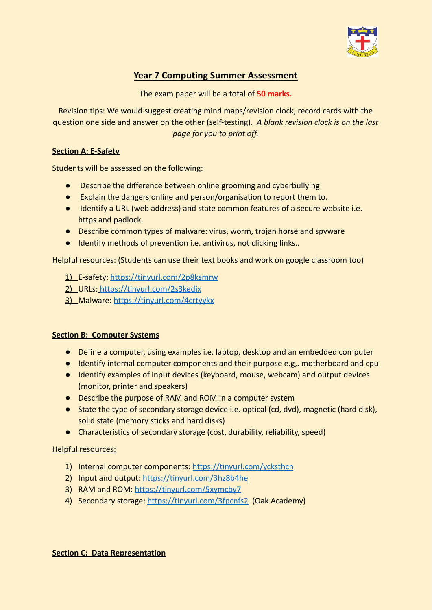

# **Year 7 Computing Summer Assessment**

The exam paper will be a total of **50 marks.**

Revision tips: We would suggest creating mind maps/revision clock, record cards with the question one side and answer on the other (self-testing). *A blank revision clock is on the last page for you to print off.*

## **Section A: E-Safety**

Students will be assessed on the following:

- Describe the difference between online grooming and cyberbullying
- Explain the dangers online and person/organisation to report them to.
- Identify a URL (web address) and state common features of a secure website i.e. https and padlock.
- Describe common types of malware: virus, worm, trojan horse and spyware
- Identify methods of prevention i.e. antivirus, not clicking links..

Helpful resources: (Students can use their text books and work on google classroom too)

1) E-safety: <https://tinyurl.com/2p8ksmrw>

2) URLs: <https://tinyurl.com/2s3kedjx>

3) Malware: <https://tinyurl.com/4crtyykx>

# **Section B: Computer Systems**

- Define a computer, using examples i.e. laptop, desktop and an embedded computer
- Identify internal computer components and their purpose e.g,. motherboard and cpu
- Identify examples of input devices (keyboard, mouse, webcam) and output devices (monitor, printer and speakers)
- Describe the purpose of RAM and ROM in a computer system
- State the type of secondary storage device i.e. optical (cd, dvd), magnetic (hard disk), solid state (memory sticks and hard disks)
- Characteristics of secondary storage (cost, durability, reliability, speed)

Helpful resources:

- 1) Internal computer components: <https://tinyurl.com/ycksthcn>
- 2) Input and output: <https://tinyurl.com/3hz8b4he>
- 3) RAM and ROM: <https://tinyurl.com/5xymcby7>
- 4) Secondary storage: <https://tinyurl.com/3fpcnfs2> (Oak Academy)

#### **Section C: Data Representation**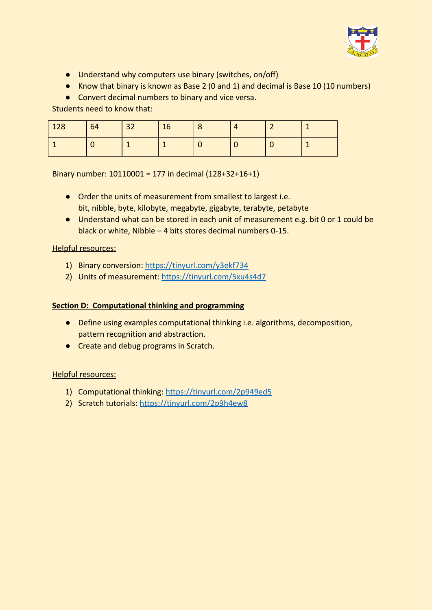

- Understand why computers use binary (switches, on/off)
- Know that binary is known as Base 2 (0 and 1) and decimal is Base 10 (10 numbers)
- Convert decimal numbers to binary and vice versa.

Students need to know that:

| 128 | 64 | $\vert$ 32 | 16 |  |  |
|-----|----|------------|----|--|--|
|     |    |            |    |  |  |

Binary number: 10110001 = 177 in decimal (128+32+16+1)

- Order the units of measurement from smallest to largest i.e. bit, nibble, byte, kilobyte, megabyte, gigabyte, terabyte, petabyte
- Understand what can be stored in each unit of measurement e.g. bit 0 or 1 could be black or white, Nibble – 4 bits stores decimal numbers 0-15.

## Helpful resources:

- 1) Binary conversion: <https://tinyurl.com/y3ekf734>
- 2) Units of measurement: <https://tinyurl.com/5xu4s4d7>

## **Section D: Computational thinking and programming**

- Define using examples computational thinking i.e. algorithms, decomposition, pattern recognition and abstraction.
- Create and debug programs in Scratch.

# Helpful resources:

- 1) Computational thinking: <https://tinyurl.com/2p949ed5>
- 2) Scratch tutorials: <https://tinyurl.com/2p9h4ew8>